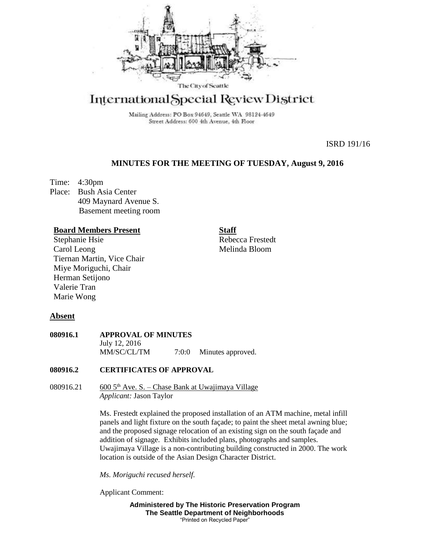

# International Special Review District

Mailing Address: PO Box 94649, Seattle WA 98124-4649 Street Address: 600 4th Avenue, 4th Floor

ISRD 191/16

# **MINUTES FOR THE MEETING OF TUESDAY, August 9, 2016**

Time: 4:30pm Place: Bush Asia Center 409 Maynard Avenue S. Basement meeting room

### **Board Members Present**

Stephanie Hsie Carol Leong Tiernan Martin, Vice Chair Miye Moriguchi, Chair Herman Setijono Valerie Tran Marie Wong

**Staff**

Rebecca Frestedt Melinda Bloom

## **Absent**

**080916.1 APPROVAL OF MINUTES** July 12, 2016 MM/SC/CL/TM  $7:0:0$  Minutes approved.

### **080916.2 CERTIFICATES OF APPROVAL**

080916.21 600  $5<sup>th</sup>$  Ave. S. – Chase Bank at Uwajimaya Village *Applicant:* Jason Taylor

> Ms. Frestedt explained the proposed installation of an ATM machine, metal infill panels and light fixture on the south façade; to paint the sheet metal awning blue; and the proposed signage relocation of an existing sign on the south façade and addition of signage. Exhibits included plans, photographs and samples. Uwajimaya Village is a non-contributing building constructed in 2000. The work location is outside of the Asian Design Character District.

*Ms. Moriguchi recused herself.*

Applicant Comment:

**Administered by The Historic Preservation Program The Seattle Department of Neighborhoods** "Printed on Recycled Paper"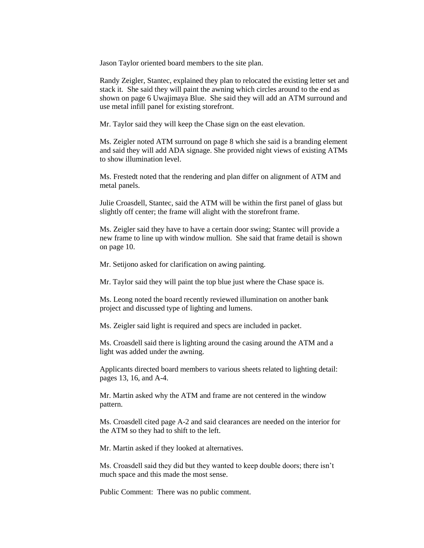Jason Taylor oriented board members to the site plan.

Randy Zeigler, Stantec, explained they plan to relocated the existing letter set and stack it. She said they will paint the awning which circles around to the end as shown on page 6 Uwajimaya Blue. She said they will add an ATM surround and use metal infill panel for existing storefront.

Mr. Taylor said they will keep the Chase sign on the east elevation.

Ms. Zeigler noted ATM surround on page 8 which she said is a branding element and said they will add ADA signage. She provided night views of existing ATMs to show illumination level.

Ms. Frestedt noted that the rendering and plan differ on alignment of ATM and metal panels.

Julie Croasdell, Stantec, said the ATM will be within the first panel of glass but slightly off center; the frame will alight with the storefront frame.

Ms. Zeigler said they have to have a certain door swing; Stantec will provide a new frame to line up with window mullion. She said that frame detail is shown on page 10.

Mr. Setijono asked for clarification on awing painting.

Mr. Taylor said they will paint the top blue just where the Chase space is.

Ms. Leong noted the board recently reviewed illumination on another bank project and discussed type of lighting and lumens.

Ms. Zeigler said light is required and specs are included in packet.

Ms. Croasdell said there is lighting around the casing around the ATM and a light was added under the awning.

Applicants directed board members to various sheets related to lighting detail: pages 13, 16, and A-4.

Mr. Martin asked why the ATM and frame are not centered in the window pattern.

Ms. Croasdell cited page A-2 and said clearances are needed on the interior for the ATM so they had to shift to the left.

Mr. Martin asked if they looked at alternatives.

Ms. Croasdell said they did but they wanted to keep double doors; there isn't much space and this made the most sense.

Public Comment: There was no public comment.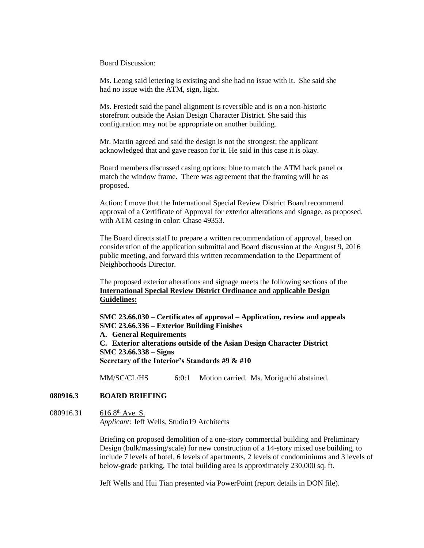Board Discussion:

Ms. Leong said lettering is existing and she had no issue with it. She said she had no issue with the ATM, sign, light.

Ms. Frestedt said the panel alignment is reversible and is on a non-historic storefront outside the Asian Design Character District. She said this configuration may not be appropriate on another building.

Mr. Martin agreed and said the design is not the strongest; the applicant acknowledged that and gave reason for it. He said in this case it is okay.

Board members discussed casing options: blue to match the ATM back panel or match the window frame. There was agreement that the framing will be as proposed.

Action: I move that the International Special Review District Board recommend approval of a Certificate of Approval for exterior alterations and signage, as proposed, with ATM casing in color: Chase 49353.

The Board directs staff to prepare a written recommendation of approval, based on consideration of the application submittal and Board discussion at the August 9, 2016 public meeting, and forward this written recommendation to the Department of Neighborhoods Director.

The proposed exterior alterations and signage meets the following sections of the **International Special Review District Ordinance and** a**pplicable Design Guidelines:**

**SMC 23.66.030 – Certificates of approval – Application, review and appeals SMC 23.66.336 – Exterior Building Finishes A. General Requirements C. Exterior alterations outside of the Asian Design Character District SMC 23.66.338 – Signs Secretary of the Interior's Standards #9 & #10**

MM/SC/CL/HS 6:0:1 Motion carried. Ms. Moriguchi abstained.

## **080916.3 BOARD BRIEFING**

080916.31 616 8<sup>th</sup> Ave. S. *Applicant:* Jeff Wells, Studio19 Architects

> Briefing on proposed demolition of a one-story commercial building and Preliminary Design (bulk/massing/scale) for new construction of a 14-story mixed use building, to include 7 levels of hotel, 6 levels of apartments, 2 levels of condominiums and 3 levels of below-grade parking. The total building area is approximately 230,000 sq. ft.

Jeff Wells and Hui Tian presented via PowerPoint (report details in DON file).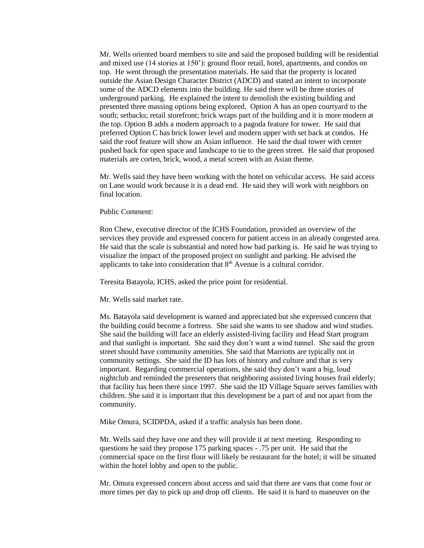Mr. Wells oriented board members to site and said the proposed building will be residential and mixed use (14 stories at 150'): ground floor retail, hotel, apartments, and condos on top. He went through the presentation materials. He said that the property is located outside the Asian Design Character District (ADCD) and stated an intent to incorporate some of the ADCD elements into the building. He said there will be three stories of underground parking. He explained the intent to demolish the existing building and presented three massing options being explored. Option A has an open courtyard to the south; setbacks; retail storefront; brick wraps part of the building and it is more modern at the top. Option B adds a modern approach to a pagoda feature for tower. He said that preferred Option C has brick lower level and modern upper with set back at condos. He said the roof feature will show an Asian influence. He said the dual tower with center pushed back for open space and landscape to tie to the green street. He said that proposed materials are corten, brick, wood, a metal screen with an Asian theme.

Mr. Wells said they have been working with the hotel on vehicular access. He said access on Lane would work because it is a dead end. He said they will work with neighbors on final location.

Public Comment:

Ron Chew, executive director of the ICHS Foundation, provided an overview of the services they provide and expressed concern for patient access in an already congested area. He said that the scale is substantial and noted how bad parking is. He said he was trying to visualize the impact of the proposed project on sunlight and parking. He advised the applicants to take into consideration that 8<sup>th</sup> Avenue is a cultural corridor.

Teresita Batayola, ICHS, asked the price point for residential.

Mr. Wells said market rate.

Ms. Batayola said development is wanted and appreciated but she expressed concern that the building could become a fortress. She said she wants to see shadow and wind studies. She said the building will face an elderly assisted-living facility and Head Start program and that sunlight is important. She said they don't want a wind tunnel. She said the green street should have community amenities. She said that Marriotts are typically not in community settings. She said the ID has lots of history and culture and that is very important. Regarding commercial operations, she said they don't want a big, loud nightclub and reminded the presenters that neighboring assisted living houses frail elderly; that facility has been there since 1997. She said the ID Village Square serves families with children. She said it is important that this development be a part of and not apart from the community.

Mike Omura, SCIDPDA, asked if a traffic analysis has been done.

Mr. Wells said they have one and they will provide it at next meeting. Responding to questions he said they propose 175 parking spaces - .75 per unit. He said that the commercial space on the first floor will likely be restaurant for the hotel; it will be situated within the hotel lobby and open to the public.

Mr. Omura expressed concern about access and said that there are vans that come four or more times per day to pick up and drop off clients. He said it is hard to maneuver on the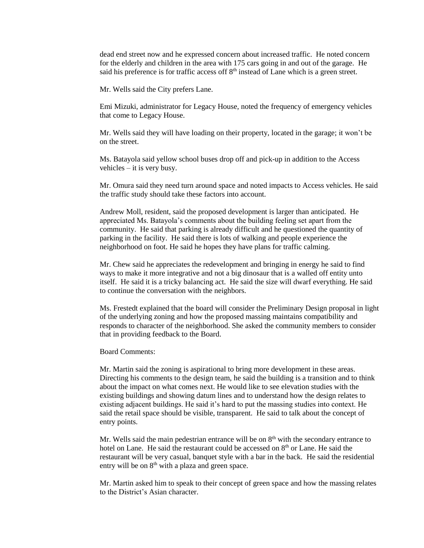dead end street now and he expressed concern about increased traffic. He noted concern for the elderly and children in the area with 175 cars going in and out of the garage. He said his preference is for traffic access off  $8<sup>th</sup>$  instead of Lane which is a green street.

Mr. Wells said the City prefers Lane.

Emi Mizuki, administrator for Legacy House, noted the frequency of emergency vehicles that come to Legacy House.

Mr. Wells said they will have loading on their property, located in the garage; it won't be on the street.

Ms. Batayola said yellow school buses drop off and pick-up in addition to the Access vehicles – it is very busy.

Mr. Omura said they need turn around space and noted impacts to Access vehicles. He said the traffic study should take these factors into account.

Andrew Moll, resident, said the proposed development is larger than anticipated. He appreciated Ms. Batayola's comments about the building feeling set apart from the community. He said that parking is already difficult and he questioned the quantity of parking in the facility. He said there is lots of walking and people experience the neighborhood on foot. He said he hopes they have plans for traffic calming.

Mr. Chew said he appreciates the redevelopment and bringing in energy he said to find ways to make it more integrative and not a big dinosaur that is a walled off entity unto itself. He said it is a tricky balancing act. He said the size will dwarf everything. He said to continue the conversation with the neighbors.

Ms. Frestedt explained that the board will consider the Preliminary Design proposal in light of the underlying zoning and how the proposed massing maintains compatibility and responds to character of the neighborhood. She asked the community members to consider that in providing feedback to the Board.

Board Comments:

Mr. Martin said the zoning is aspirational to bring more development in these areas. Directing his comments to the design team, he said the building is a transition and to think about the impact on what comes next. He would like to see elevation studies with the existing buildings and showing datum lines and to understand how the design relates to existing adjacent buildings. He said it's hard to put the massing studies into context. He said the retail space should be visible, transparent. He said to talk about the concept of entry points.

Mr. Wells said the main pedestrian entrance will be on  $8<sup>th</sup>$  with the secondary entrance to hotel on Lane. He said the restaurant could be accessed on  $8<sup>th</sup>$  or Lane. He said the restaurant will be very casual, banquet style with a bar in the back. He said the residential entry will be on  $8<sup>th</sup>$  with a plaza and green space.

Mr. Martin asked him to speak to their concept of green space and how the massing relates to the District's Asian character.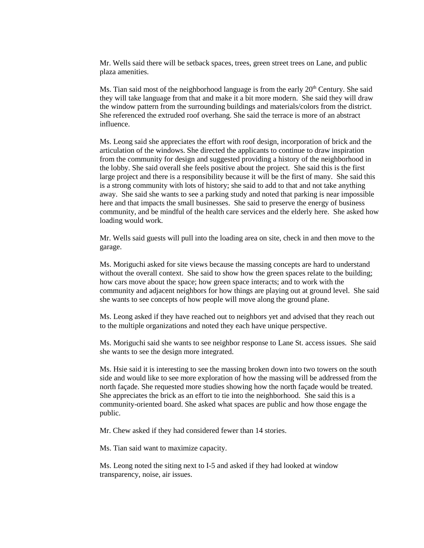Mr. Wells said there will be setback spaces, trees, green street trees on Lane, and public plaza amenities.

Ms. Tian said most of the neighborhood language is from the early  $20<sup>th</sup>$  Century. She said they will take language from that and make it a bit more modern. She said they will draw the window pattern from the surrounding buildings and materials/colors from the district. She referenced the extruded roof overhang. She said the terrace is more of an abstract influence.

Ms. Leong said she appreciates the effort with roof design, incorporation of brick and the articulation of the windows. She directed the applicants to continue to draw inspiration from the community for design and suggested providing a history of the neighborhood in the lobby. She said overall she feels positive about the project. She said this is the first large project and there is a responsibility because it will be the first of many. She said this is a strong community with lots of history; she said to add to that and not take anything away. She said she wants to see a parking study and noted that parking is near impossible here and that impacts the small businesses. She said to preserve the energy of business community, and be mindful of the health care services and the elderly here. She asked how loading would work.

Mr. Wells said guests will pull into the loading area on site, check in and then move to the garage.

Ms. Moriguchi asked for site views because the massing concepts are hard to understand without the overall context. She said to show how the green spaces relate to the building; how cars move about the space; how green space interacts; and to work with the community and adjacent neighbors for how things are playing out at ground level. She said she wants to see concepts of how people will move along the ground plane.

Ms. Leong asked if they have reached out to neighbors yet and advised that they reach out to the multiple organizations and noted they each have unique perspective.

Ms. Moriguchi said she wants to see neighbor response to Lane St. access issues. She said she wants to see the design more integrated.

Ms. Hsie said it is interesting to see the massing broken down into two towers on the south side and would like to see more exploration of how the massing will be addressed from the north façade. She requested more studies showing how the north façade would be treated. She appreciates the brick as an effort to tie into the neighborhood. She said this is a community-oriented board. She asked what spaces are public and how those engage the public.

Mr. Chew asked if they had considered fewer than 14 stories.

Ms. Tian said want to maximize capacity.

Ms. Leong noted the siting next to I-5 and asked if they had looked at window transparency, noise, air issues.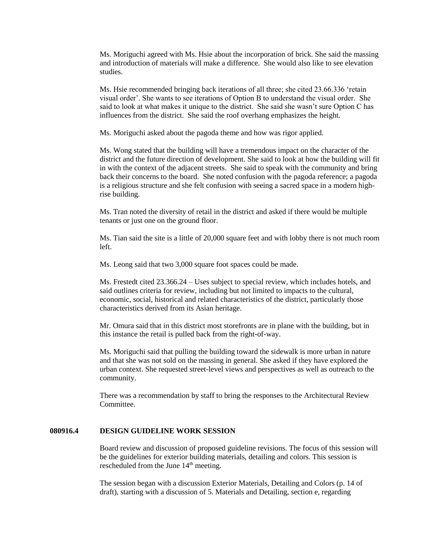Ms. Moriguchi agreed with Ms. Hsie about the incorporation of brick. She said the massing and introduction of materials will make a difference. She would also like to see elevation studies.

Ms. Hsie recommended bringing back iterations of all three; she cited 23.66.336 'retain visual order'. She wants to see iterations of Option B to understand the visual order. She said to look at what makes it unique to the district. She said she wasn't sure Option C has influences from the district. She said the roof overhang emphasizes the height.

Ms. Moriguchi asked about the pagoda theme and how was rigor applied.

Ms. Wong stated that the building will have a tremendous impact on the character of the district and the future direction of development. She said to look at how the building will fit in with the context of the adjacent streets. She said to speak with the community and bring back their concerns to the board. She noted confusion with the pagoda reference; a pagoda is a religious structure and she felt confusion with seeing a sacred space in a modern highrise building.

Ms. Tran noted the diversity of retail in the district and asked if there would be multiple tenants or just one on the ground floor.

Ms. Tian said the site is a little of 20,000 square feet and with lobby there is not much room left.

Ms. Leong said that two 3,000 square foot spaces could be made.

Ms. Frestedt cited 23.366.24 – Uses subject to special review, which includes hotels, and said outlines criteria for review, including but not limited to impacts to the cultural, economic, social, historical and related characteristics of the district, particularly those characteristics derived from its Asian heritage.

Mr. Omura said that in this district most storefronts are in plane with the building, but in this instance the retail is pulled back from the right-of-way.

Ms. Moriguchi said that pulling the building toward the sidewalk is more urban in nature and that she was not sold on the massing in general. She asked if they have explored the urban context. She requested street-level views and perspectives as well as outreach to the community.

There was a recommendation by staff to bring the responses to the Architectural Review Committee.

#### **080916.4 DESIGN GUIDELINE WORK SESSION**

Board review and discussion of proposed guideline revisions. The focus of this session will be the guidelines for exterior building materials, detailing and colors. This session is rescheduled from the June 14<sup>th</sup> meeting.

The session began with a discussion Exterior Materials, Detailing and Colors (p. 14 of draft), starting with a discussion of 5. Materials and Detailing, section e, regarding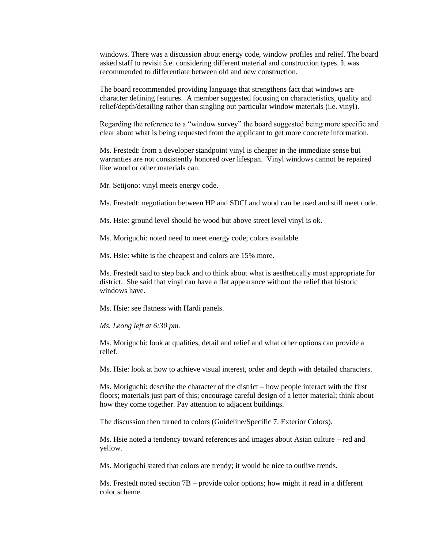windows. There was a discussion about energy code, window profiles and relief. The board asked staff to revisit 5.e. considering different material and construction types. It was recommended to differentiate between old and new construction.

The board recommended providing language that strengthens fact that windows are character defining features. A member suggested focusing on characteristics, quality and relief/depth/detailing rather than singling out particular window materials (i.e. vinyl).

Regarding the reference to a "window survey" the board suggested being more specific and clear about what is being requested from the applicant to get more concrete information.

Ms. Frestedt: from a developer standpoint vinyl is cheaper in the immediate sense but warranties are not consistently honored over lifespan. Vinyl windows cannot be repaired like wood or other materials can.

Mr. Setijono: vinyl meets energy code.

Ms. Frestedt: negotiation between HP and SDCI and wood can be used and still meet code.

Ms. Hsie: ground level should be wood but above street level vinyl is ok.

Ms. Moriguchi: noted need to meet energy code; colors available.

Ms. Hsie: white is the cheapest and colors are 15% more.

Ms. Frestedt said to step back and to think about what is aesthetically most appropriate for district. She said that vinyl can have a flat appearance without the relief that historic windows have.

Ms. Hsie: see flatness with Hardi panels.

*Ms. Leong left at 6:30 pm.*

Ms. Moriguchi: look at qualities, detail and relief and what other options can provide a relief.

Ms. Hsie: look at how to achieve visual interest, order and depth with detailed characters.

Ms. Moriguchi: describe the character of the district – how people interact with the first floors; materials just part of this; encourage careful design of a letter material; think about how they come together. Pay attention to adjacent buildings.

The discussion then turned to colors (Guideline/Specific 7. Exterior Colors).

Ms. Hsie noted a tendency toward references and images about Asian culture – red and yellow.

Ms. Moriguchi stated that colors are trendy; it would be nice to outlive trends.

Ms. Frestedt noted section 7B – provide color options; how might it read in a different color scheme.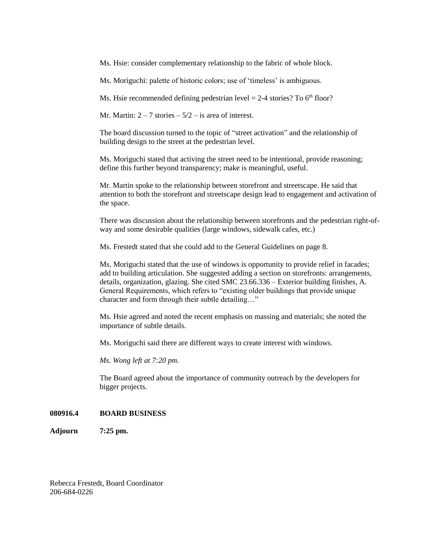Ms. Hsie: consider complementary relationship to the fabric of whole block.

Ms. Moriguchi: palette of historic colors; use of 'timeless' is ambiguous.

Ms. Hsie recommended defining pedestrian level  $= 2-4$  stories? To 6<sup>th</sup> floor?

Mr. Martin:  $2 - 7$  stories  $-5/2$  – is area of interest.

The board discussion turned to the topic of "street activation" and the relationship of building design to the street at the pedestrian level.

Ms. Moriguchi stated that activing the street need to be intentional, provide reasoning; define this further beyond transparency; make is meaningful, useful.

Mr. Martin spoke to the relationship between storefront and streetscape. He said that attention to both the storefront and streetscape design lead to engagement and activation of the space.

There was discussion about the relationship between storefronts and the pedestrian right-ofway and some desirable qualities (large windows, sidewalk cafes, etc.)

Ms. Frestedt stated that she could add to the General Guidelines on page 8.

Ms. Moriguchi stated that the use of windows is opportunity to provide relief in facades; add to building articulation. She suggested adding a section on storefronts: arrangements, details, organization, glazing. She cited SMC 23.66.336 – Exterior building finishes, A. General Requirements, which refers to "existing older buildings that provide unique character and form through their subtle detailing…"

Ms. Hsie agreed and noted the recent emphasis on massing and materials; she noted the importance of subtle details.

Ms. Moriguchi said there are different ways to create interest with windows.

*Ms. Wong left at 7:20 pm.*

The Board agreed about the importance of community outreach by the developers for bigger projects.

#### **080916.4 BOARD BUSINESS**

**Adjourn 7:25 pm.**

Rebecca Frestedt, Board Coordinator 206-684-0226